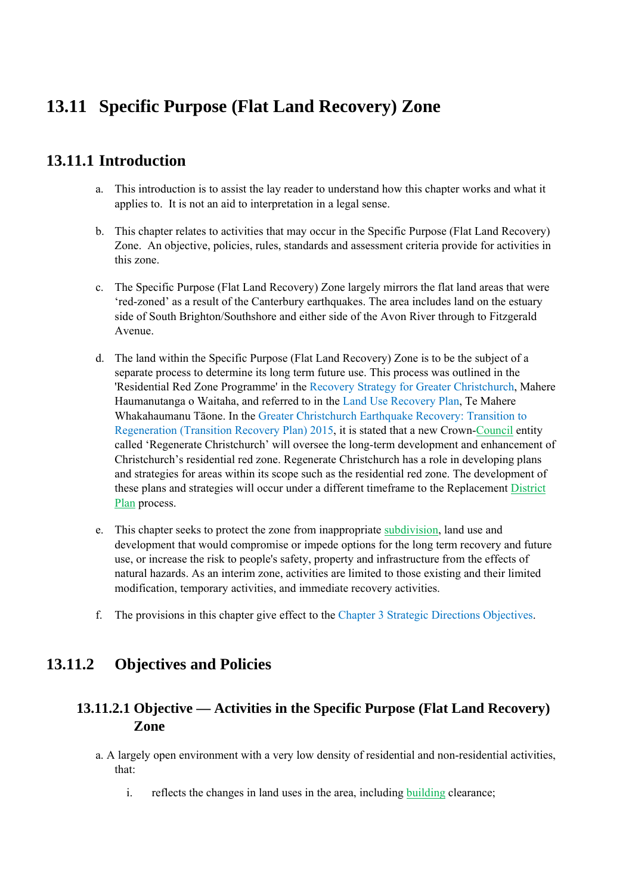# **13.11 Specific Purpose (Flat Land Recovery) Zone**

# **13.11.1 Introduction**

- a. This introduction is to assist the lay reader to understand how this chapter works and what it applies to. It is not an aid to interpretation in a legal sense.
- b. This chapter relates to activities that may occur in the Specific Purpose (Flat Land Recovery) Zone. An objective, policies, rules, standards and assessment criteria provide for activities in this zone.
- c. The Specific Purpose (Flat Land Recovery) Zone largely mirrors the flat land areas that were 'red-zoned' as a result of the Canterbury earthquakes. The area includes land on the estuary side of South Brighton/Southshore and either side of the Avon River through to Fitzgerald Avenue.
- d. The land within the Specific Purpose (Flat Land Recovery) Zone is to be the subject of a separate process to determine its long term future use. This process was outlined in the 'Residential Red Zone Programme' in the Recovery Strategy for Greater Christchurch, Mahere Haumanutanga o Waitaha, and referred to in the Land Use Recovery Plan, Te Mahere Whakahaumanu Tāone. In the Greater Christchurch Earthquake Recovery: Transition to Regeneration (Transition Recovery Plan) 2015, it is stated that a new Crown-Council entity called 'Regenerate Christchurch' will oversee the long-term development and enhancement of Christchurch's residential red zone. Regenerate Christchurch has a role in developing plans and strategies for areas within its scope such as the residential red zone. The development of these plans and strategies will occur under a different timeframe to the Replacement District Plan process.
- e. This chapter seeks to protect the zone from inappropriate subdivision, land use and development that would compromise or impede options for the long term recovery and future use, or increase the risk to people's safety, property and infrastructure from the effects of natural hazards. As an interim zone, activities are limited to those existing and their limited modification, temporary activities, and immediate recovery activities.
- f. The provisions in this chapter give effect to the Chapter 3 Strategic Directions Objectives.

# **13.11.2 Objectives and Policies**

# **13.11.2.1 Objective — Activities in the Specific Purpose (Flat Land Recovery) Zone**

- a. A largely open environment with a very low density of residential and non-residential activities, that:
	- i. reflects the changes in land uses in the area, including building clearance;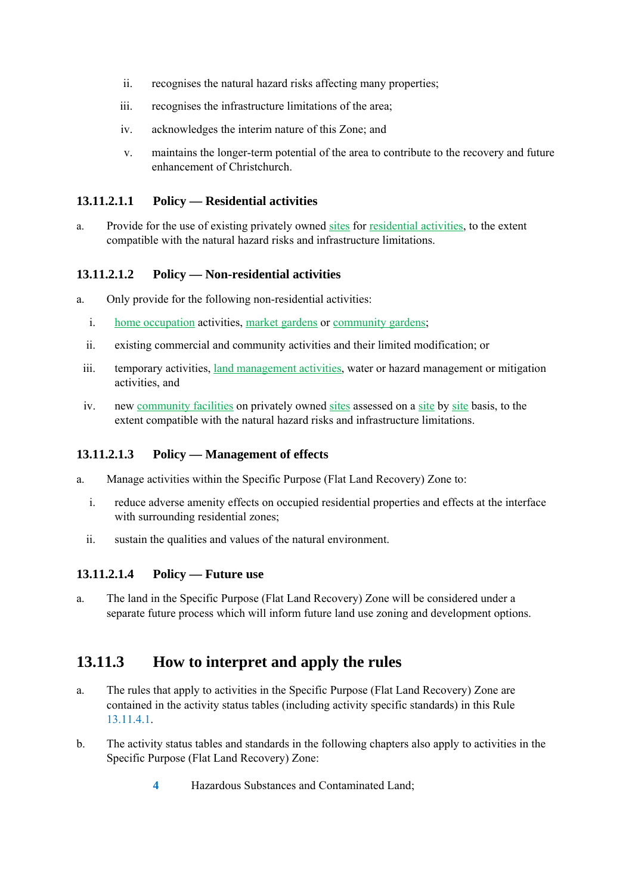- ii. recognises the natural hazard risks affecting many properties;
- iii. recognises the infrastructure limitations of the area;
- iv. acknowledges the interim nature of this Zone; and
- v. maintains the longer-term potential of the area to contribute to the recovery and future enhancement of Christchurch.

#### **13.11.2.1.1 Policy — Residential activities**

a. Provide for the use of existing privately owned sites for residential activities, to the extent compatible with the natural hazard risks and infrastructure limitations.

#### **13.11.2.1.2 Policy — Non-residential activities**

- a. Only provide for the following non-residential activities:
	- i. home occupation activities, market gardens or community gardens;
	- ii. existing commercial and community activities and their limited modification; or
	- iii. temporary activities, land management activities, water or hazard management or mitigation activities, and
	- iv. new community facilities on privately owned sites assessed on a site by site basis, to the extent compatible with the natural hazard risks and infrastructure limitations.

### **13.11.2.1.3 Policy — Management of effects**

- a. Manage activities within the Specific Purpose (Flat Land Recovery) Zone to:
	- i. reduce adverse amenity effects on occupied residential properties and effects at the interface with surrounding residential zones;
	- ii. sustain the qualities and values of the natural environment.

### **13.11.2.1.4 Policy — Future use**

a. The land in the Specific Purpose (Flat Land Recovery) Zone will be considered under a separate future process which will inform future land use zoning and development options.

# **13.11.3 How to interpret and apply the rules**

- a. The rules that apply to activities in the Specific Purpose (Flat Land Recovery) Zone are contained in the activity status tables (including activity specific standards) in this Rule 13.11.4.1.
- b. The activity status tables and standards in the following chapters also apply to activities in the Specific Purpose (Flat Land Recovery) Zone:
	- **4** Hazardous Substances and Contaminated Land;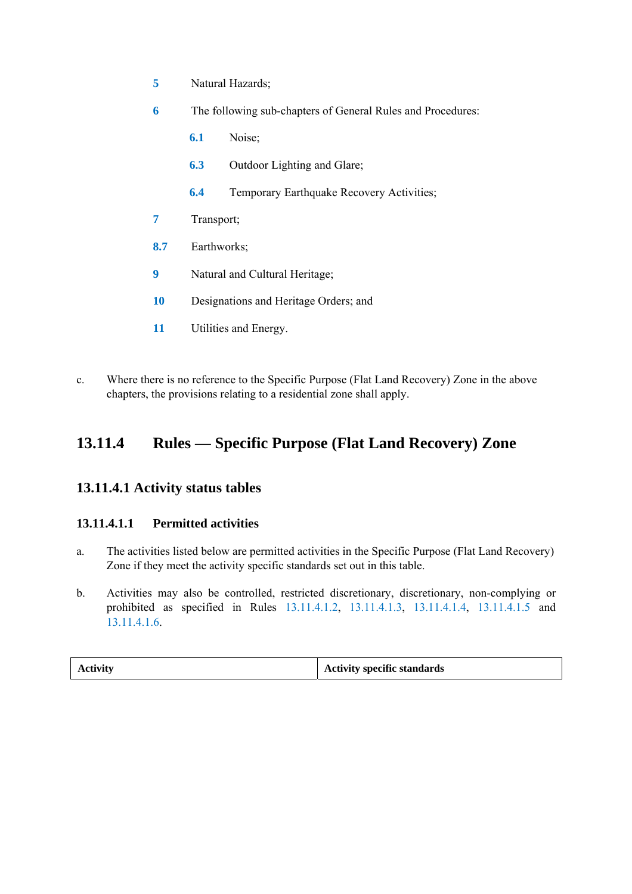- **5** Natural Hazards;
- **6** The following sub-chapters of General Rules and Procedures:
	- **6.1** Noise;
	- **6.3** Outdoor Lighting and Glare;
	- **6.4** Temporary Earthquake Recovery Activities;
- **7** Transport;
- **8.7** Earthworks;
- **9** Natural and Cultural Heritage;
- **10** Designations and Heritage Orders; and
- **11** Utilities and Energy.
- c. Where there is no reference to the Specific Purpose (Flat Land Recovery) Zone in the above chapters, the provisions relating to a residential zone shall apply.

# **13.11.4 Rules — Specific Purpose (Flat Land Recovery) Zone**

## **13.11.4.1 Activity status tables**

### **13.11.4.1.1 Permitted activities**

- a. The activities listed below are permitted activities in the Specific Purpose (Flat Land Recovery) Zone if they meet the activity specific standards set out in this table.
- b. Activities may also be controlled, restricted discretionary, discretionary, non-complying or prohibited as specified in Rules 13.11.4.1.2, 13.11.4.1.3, 13.11.4.1.4, 13.11.4.1.5 and 13.11.4.1.6.

|  | <b>Activity</b> | <b>Activity specific standards</b> |
|--|-----------------|------------------------------------|
|--|-----------------|------------------------------------|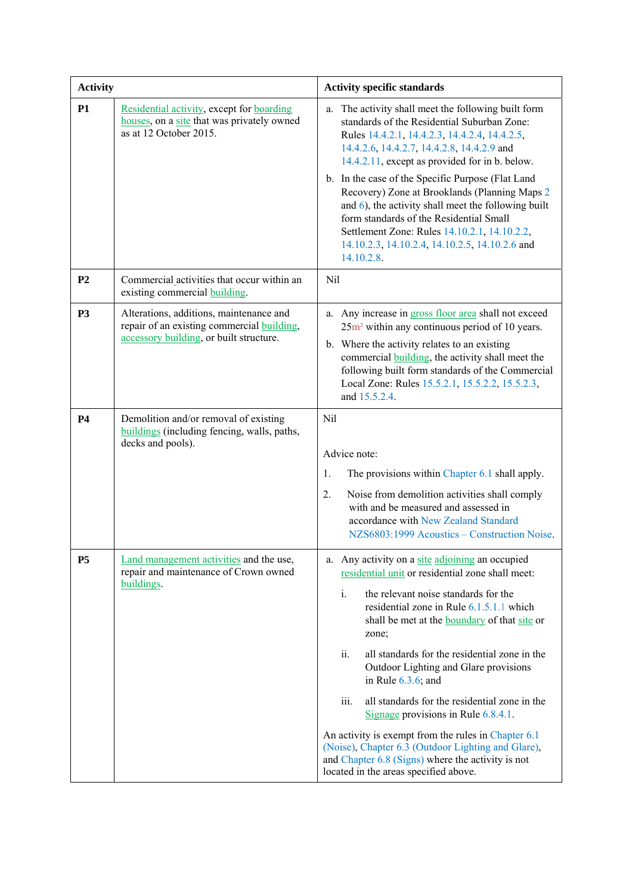| <b>Activity</b> |                                                                                                                                  | <b>Activity specific standards</b>                                                                                                                                                                                                                                                                                                                                                                                                                                                                                                                                                                                                                                                                       |
|-----------------|----------------------------------------------------------------------------------------------------------------------------------|----------------------------------------------------------------------------------------------------------------------------------------------------------------------------------------------------------------------------------------------------------------------------------------------------------------------------------------------------------------------------------------------------------------------------------------------------------------------------------------------------------------------------------------------------------------------------------------------------------------------------------------------------------------------------------------------------------|
| <b>P1</b>       | Residential activity, except for boarding<br>houses, on a site that was privately owned<br>as at 12 October 2015.                | The activity shall meet the following built form<br>a.<br>standards of the Residential Suburban Zone:<br>Rules 14.4.2.1, 14.4.2.3, 14.4.2.4, 14.4.2.5,<br>14.4.2.6, 14.4.2.7, 14.4.2.8, 14.4.2.9 and<br>14.4.2.11, except as provided for in b. below.<br>b. In the case of the Specific Purpose (Flat Land<br>Recovery) Zone at Brooklands (Planning Maps 2<br>and 6), the activity shall meet the following built<br>form standards of the Residential Small<br>Settlement Zone: Rules 14.10.2.1, 14.10.2.2,<br>14.10.2.3, 14.10.2.4, 14.10.2.5, 14.10.2.6 and<br>14.10.2.8.                                                                                                                           |
| P <sub>2</sub>  | Commercial activities that occur within an<br>existing commercial building.                                                      | Nil                                                                                                                                                                                                                                                                                                                                                                                                                                                                                                                                                                                                                                                                                                      |
| <b>P3</b>       | Alterations, additions, maintenance and<br>repair of an existing commercial building,<br>accessory building, or built structure. | a. Any increase in <b>gross</b> floor area shall not exceed<br>$25m2$ within any continuous period of 10 years.<br>b. Where the activity relates to an existing<br>commercial <b>building</b> , the activity shall meet the<br>following built form standards of the Commercial<br>Local Zone: Rules 15.5.2.1, 15.5.2.2, 15.5.2.3,<br>and 15.5.2.4.                                                                                                                                                                                                                                                                                                                                                      |
| <b>P4</b>       | Demolition and/or removal of existing<br>buildings (including fencing, walls, paths,<br>decks and pools).                        | Nil<br>Advice note:<br>The provisions within Chapter 6.1 shall apply.<br>1.<br>Noise from demolition activities shall comply<br>2.<br>with and be measured and assessed in<br>accordance with New Zealand Standard<br>NZS6803:1999 Acoustics - Construction Noise.                                                                                                                                                                                                                                                                                                                                                                                                                                       |
| <b>P5</b>       | Land management activities and the use,<br>repair and maintenance of Crown owned<br>buildings.                                   | a. Any activity on a site adjoining an occupied<br>residential unit or residential zone shall meet:<br>$i$ .<br>the relevant noise standards for the<br>residential zone in Rule 6.1.5.1.1 which<br>shall be met at the <b>boundary</b> of that site or<br>zone;<br>ii.<br>all standards for the residential zone in the<br>Outdoor Lighting and Glare provisions<br>in Rule $6.3.6$ ; and<br>iii.<br>all standards for the residential zone in the<br>Signage provisions in Rule $6.8.4.1$ .<br>An activity is exempt from the rules in Chapter 6.1<br>(Noise), Chapter 6.3 (Outdoor Lighting and Glare),<br>and Chapter 6.8 (Signs) where the activity is not<br>located in the areas specified above. |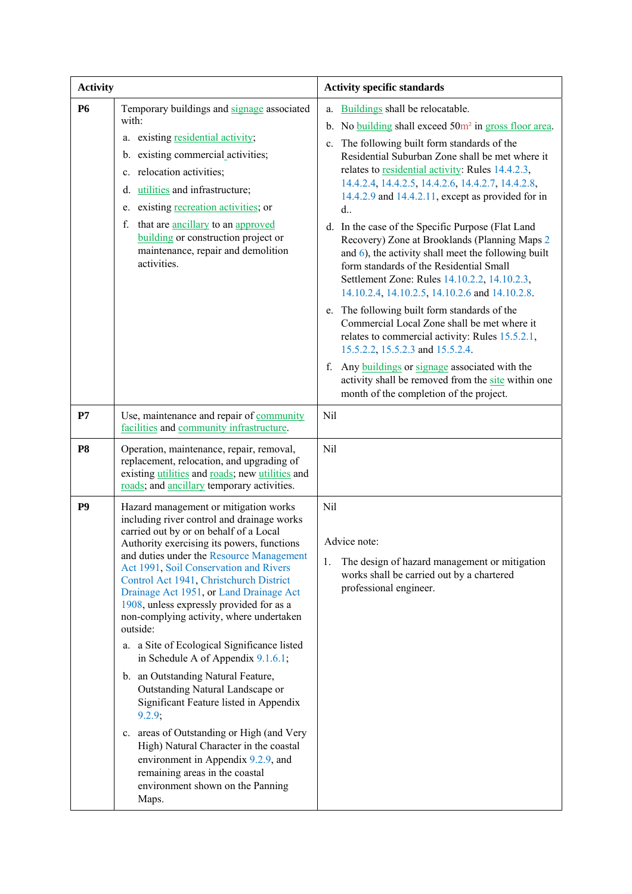| <b>Activity</b> |                                                                                                                                                                                                                                                                                                                                                                                                                                                                                                                                                                                                                                                                                                                                                                                                                                                                                               | <b>Activity specific standards</b>                                                                                                                                                                                                                                                                                                                                                                                                                                                                                                                                                                                                                                                                                                                                                                                                                                                                                                                                                                                                                                 |
|-----------------|-----------------------------------------------------------------------------------------------------------------------------------------------------------------------------------------------------------------------------------------------------------------------------------------------------------------------------------------------------------------------------------------------------------------------------------------------------------------------------------------------------------------------------------------------------------------------------------------------------------------------------------------------------------------------------------------------------------------------------------------------------------------------------------------------------------------------------------------------------------------------------------------------|--------------------------------------------------------------------------------------------------------------------------------------------------------------------------------------------------------------------------------------------------------------------------------------------------------------------------------------------------------------------------------------------------------------------------------------------------------------------------------------------------------------------------------------------------------------------------------------------------------------------------------------------------------------------------------------------------------------------------------------------------------------------------------------------------------------------------------------------------------------------------------------------------------------------------------------------------------------------------------------------------------------------------------------------------------------------|
| <b>P6</b>       | Temporary buildings and signage associated<br>with:<br>a. existing residential activity;<br>b. existing commercial activities;<br>c. relocation activities;<br>utilities and infrastructure;<br>d.<br>existing recreation activities; or<br>e.<br>f.<br>that are ancillary to an approved<br>building or construction project or<br>maintenance, repair and demolition<br>activities.                                                                                                                                                                                                                                                                                                                                                                                                                                                                                                         | Buildings shall be relocatable.<br>a.<br>No building shall exceed 50m <sup>2</sup> in gross floor area.<br>$b_{\cdot}$<br>c. The following built form standards of the<br>Residential Suburban Zone shall be met where it<br>relates to residential activity: Rules 14.4.2.3,<br>14.4.2.4, 14.4.2.5, 14.4.2.6, 14.4.2.7, 14.4.2.8,<br>14.4.2.9 and 14.4.2.11, except as provided for in<br>$d_{\cdot\cdot}$<br>d. In the case of the Specific Purpose (Flat Land<br>Recovery) Zone at Brooklands (Planning Maps 2<br>and 6), the activity shall meet the following built<br>form standards of the Residential Small<br>Settlement Zone: Rules 14.10.2.2, 14.10.2.3,<br>14.10.2.4, 14.10.2.5, 14.10.2.6 and 14.10.2.8.<br>e. The following built form standards of the<br>Commercial Local Zone shall be met where it<br>relates to commercial activity: Rules 15.5.2.1,<br>15.5.2.2, 15.5.2.3 and 15.5.2.4.<br>Any buildings or signage associated with the<br>f.<br>activity shall be removed from the site within one<br>month of the completion of the project. |
| P7              | Use, maintenance and repair of community<br>facilities and community infrastructure.                                                                                                                                                                                                                                                                                                                                                                                                                                                                                                                                                                                                                                                                                                                                                                                                          | Nil                                                                                                                                                                                                                                                                                                                                                                                                                                                                                                                                                                                                                                                                                                                                                                                                                                                                                                                                                                                                                                                                |
| P <sub>8</sub>  | Operation, maintenance, repair, removal,<br>replacement, relocation, and upgrading of<br>existing utilities and roads; new utilities and<br>roads; and ancillary temporary activities.                                                                                                                                                                                                                                                                                                                                                                                                                                                                                                                                                                                                                                                                                                        | Nil                                                                                                                                                                                                                                                                                                                                                                                                                                                                                                                                                                                                                                                                                                                                                                                                                                                                                                                                                                                                                                                                |
| P <sub>9</sub>  | Hazard management or mitigation works<br>including river control and drainage works<br>carried out by or on behalf of a Local<br>Authority exercising its powers, functions<br>and duties under the Resource Management<br>Act 1991, Soil Conservation and Rivers<br>Control Act 1941, Christchurch District<br>Drainage Act 1951, or Land Drainage Act<br>1908, unless expressly provided for as a<br>non-complying activity, where undertaken<br>outside:<br>a. a Site of Ecological Significance listed<br>in Schedule A of Appendix $9.1.6.1$ ;<br>b. an Outstanding Natural Feature,<br>Outstanding Natural Landscape or<br>Significant Feature listed in Appendix<br>9.2.9;<br>c. areas of Outstanding or High (and Very<br>High) Natural Character in the coastal<br>environment in Appendix 9.2.9, and<br>remaining areas in the coastal<br>environment shown on the Panning<br>Maps. | Nil<br>Advice note:<br>The design of hazard management or mitigation<br>1.<br>works shall be carried out by a chartered<br>professional engineer.                                                                                                                                                                                                                                                                                                                                                                                                                                                                                                                                                                                                                                                                                                                                                                                                                                                                                                                  |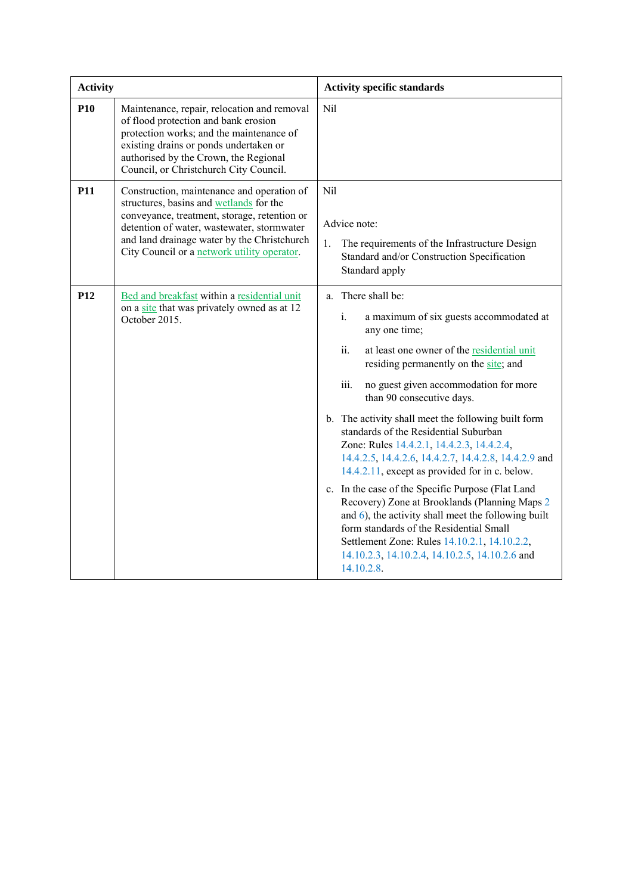| <b>Activity</b> |                                                                                                                                                                                                                                                                                   | <b>Activity specific standards</b>                                                                                                                                                                                                                                                                                                                                                                                                                                                                                                                                                                                                                                                                                                                                                                                                                 |
|-----------------|-----------------------------------------------------------------------------------------------------------------------------------------------------------------------------------------------------------------------------------------------------------------------------------|----------------------------------------------------------------------------------------------------------------------------------------------------------------------------------------------------------------------------------------------------------------------------------------------------------------------------------------------------------------------------------------------------------------------------------------------------------------------------------------------------------------------------------------------------------------------------------------------------------------------------------------------------------------------------------------------------------------------------------------------------------------------------------------------------------------------------------------------------|
| <b>P10</b>      | Maintenance, repair, relocation and removal<br>of flood protection and bank erosion<br>protection works; and the maintenance of<br>existing drains or ponds undertaken or<br>authorised by the Crown, the Regional<br>Council, or Christchurch City Council.                      | Nil                                                                                                                                                                                                                                                                                                                                                                                                                                                                                                                                                                                                                                                                                                                                                                                                                                                |
| <b>P11</b>      | Construction, maintenance and operation of<br>structures, basins and wetlands for the<br>conveyance, treatment, storage, retention or<br>detention of water, wastewater, stormwater<br>and land drainage water by the Christchurch<br>City Council or a network utility operator. | N <sub>il</sub><br>Advice note:<br>The requirements of the Infrastructure Design<br>1.<br>Standard and/or Construction Specification<br>Standard apply                                                                                                                                                                                                                                                                                                                                                                                                                                                                                                                                                                                                                                                                                             |
| P <sub>12</sub> | Bed and breakfast within a residential unit<br>on a site that was privately owned as at 12<br>October 2015.                                                                                                                                                                       | a. There shall be:<br>$i$ .<br>a maximum of six guests accommodated at<br>any one time;<br>ii.<br>at least one owner of the residential unit<br>residing permanently on the site; and<br>iii.<br>no guest given accommodation for more<br>than 90 consecutive days.<br>b. The activity shall meet the following built form<br>standards of the Residential Suburban<br>Zone: Rules 14.4.2.1, 14.4.2.3, 14.4.2.4,<br>14.4.2.5, 14.4.2.6, 14.4.2.7, 14.4.2.8, 14.4.2.9 and<br>14.4.2.11, except as provided for in c. below.<br>c. In the case of the Specific Purpose (Flat Land<br>Recovery) Zone at Brooklands (Planning Maps 2<br>and 6), the activity shall meet the following built<br>form standards of the Residential Small<br>Settlement Zone: Rules 14.10.2.1, 14.10.2.2,<br>14.10.2.3, 14.10.2.4, 14.10.2.5, 14.10.2.6 and<br>14.10.2.8. |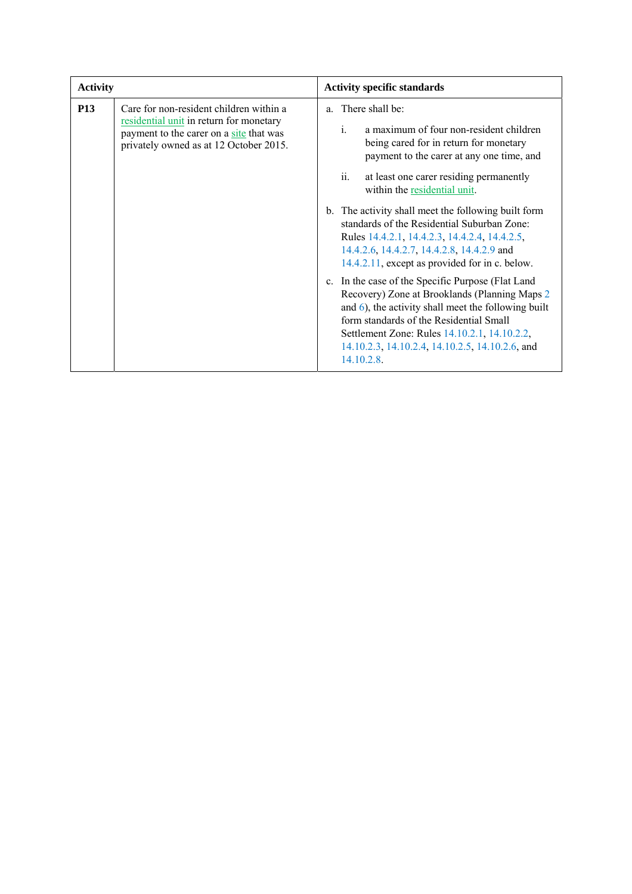| <b>Activity</b> |                                                                                                                                                                         | <b>Activity specific standards</b>                                                                                                                                                                                                                                                                                                                                                                                                                                                                                                                                                                                                                                                                                                                                                                                                                           |
|-----------------|-------------------------------------------------------------------------------------------------------------------------------------------------------------------------|--------------------------------------------------------------------------------------------------------------------------------------------------------------------------------------------------------------------------------------------------------------------------------------------------------------------------------------------------------------------------------------------------------------------------------------------------------------------------------------------------------------------------------------------------------------------------------------------------------------------------------------------------------------------------------------------------------------------------------------------------------------------------------------------------------------------------------------------------------------|
| <b>P13</b>      | Care for non-resident children within a<br>residential unit in return for monetary<br>payment to the carer on a site that was<br>privately owned as at 12 October 2015. | a. There shall be:<br>$\mathbf{i}$<br>a maximum of four non-resident children<br>being cared for in return for monetary<br>payment to the carer at any one time, and<br>ii.<br>at least one carer residing permanently<br>within the residential unit.<br>b. The activity shall meet the following built form<br>standards of the Residential Suburban Zone:<br>Rules 14.4.2.1, 14.4.2.3, 14.4.2.4, 14.4.2.5,<br>14.4.2.6, 14.4.2.7, 14.4.2.8, 14.4.2.9 and<br>14.4.2.11, except as provided for in c. below.<br>In the case of the Specific Purpose (Flat Land<br>$c_{\cdot}$<br>Recovery) Zone at Brooklands (Planning Maps 2<br>and $\epsilon$ ), the activity shall meet the following built<br>form standards of the Residential Small<br>Settlement Zone: Rules 14.10.2.1, 14.10.2.2,<br>14.10.2.3, 14.10.2.4, 14.10.2.5, 14.10.2.6, and<br>14.10.2.8. |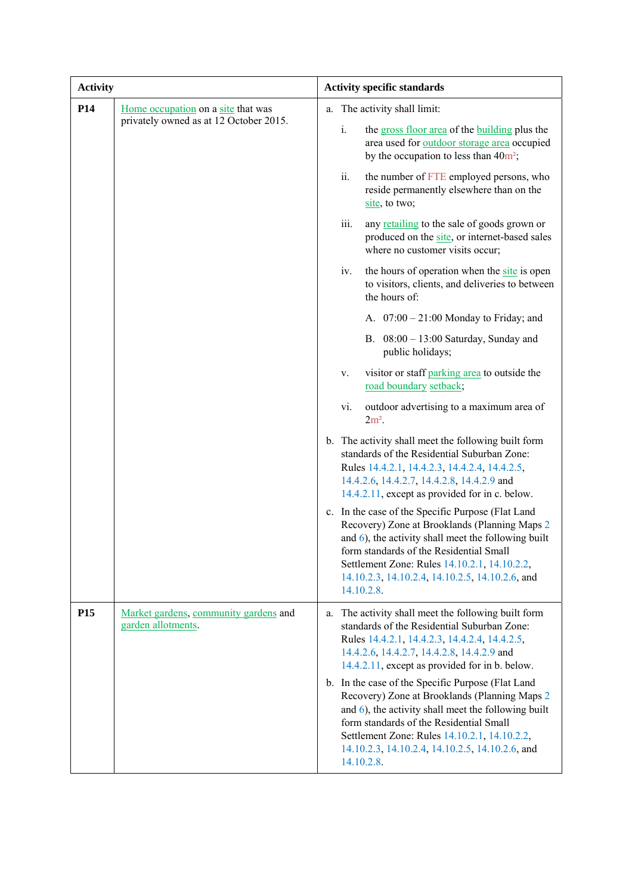| <b>Activity</b> |                                                                              | <b>Activity specific standards</b>                                                                                                                                                                                                                                                                                       |  |
|-----------------|------------------------------------------------------------------------------|--------------------------------------------------------------------------------------------------------------------------------------------------------------------------------------------------------------------------------------------------------------------------------------------------------------------------|--|
| P <sub>14</sub> | Home occupation on a site that was<br>privately owned as at 12 October 2015. | The activity shall limit:<br>a.<br>i.<br>the gross floor area of the building plus the<br>area used for outdoor storage area occupied                                                                                                                                                                                    |  |
|                 |                                                                              | by the occupation to less than $40m^2$ ;<br>ii.<br>the number of FTE employed persons, who<br>reside permanently elsewhere than on the<br>site, to two;                                                                                                                                                                  |  |
|                 |                                                                              | iii.<br>any retailing to the sale of goods grown or<br>produced on the site, or internet-based sales<br>where no customer visits occur;                                                                                                                                                                                  |  |
|                 |                                                                              | the hours of operation when the site is open<br>iv.<br>to visitors, clients, and deliveries to between<br>the hours of:                                                                                                                                                                                                  |  |
|                 |                                                                              | A. $07:00 - 21:00$ Monday to Friday; and                                                                                                                                                                                                                                                                                 |  |
|                 |                                                                              | B. $08:00 - 13:00$ Saturday, Sunday and<br>public holidays;                                                                                                                                                                                                                                                              |  |
|                 |                                                                              | visitor or staff parking area to outside the<br>V.<br>road boundary setback;                                                                                                                                                                                                                                             |  |
|                 |                                                                              | outdoor advertising to a maximum area of<br>vi.<br>$2m2$ .                                                                                                                                                                                                                                                               |  |
|                 |                                                                              | b. The activity shall meet the following built form<br>standards of the Residential Suburban Zone:<br>Rules 14.4.2.1, 14.4.2.3, 14.4.2.4, 14.4.2.5,<br>14.4.2.6, 14.4.2.7, 14.4.2.8, 14.4.2.9 and<br>14.4.2.11, except as provided for in c. below.                                                                      |  |
|                 |                                                                              | c. In the case of the Specific Purpose (Flat Land<br>Recovery) Zone at Brooklands (Planning Maps 2<br>and 6), the activity shall meet the following built<br>form standards of the Residential Small<br>Settlement Zone: Rules 14.10.2.1, 14.10.2.2,<br>14.10.2.3, 14.10.2.4, 14.10.2.5, 14.10.2.6, and<br>14.10.2.8.    |  |
| P <sub>15</sub> | Market gardens, community gardens and<br>garden allotments.                  | The activity shall meet the following built form<br>a.<br>standards of the Residential Suburban Zone:<br>Rules 14.4.2.1, 14.4.2.3, 14.4.2.4, 14.4.2.5,<br>14.4.2.6, 14.4.2.7, 14.4.2.8, 14.4.2.9 and<br>14.4.2.11, except as provided for in b. below.                                                                   |  |
|                 |                                                                              | b. In the case of the Specific Purpose (Flat Land<br>Recovery) Zone at Brooklands (Planning Maps 2<br>and $6$ ), the activity shall meet the following built<br>form standards of the Residential Small<br>Settlement Zone: Rules 14.10.2.1, 14.10.2.2,<br>14.10.2.3, 14.10.2.4, 14.10.2.5, 14.10.2.6, and<br>14.10.2.8. |  |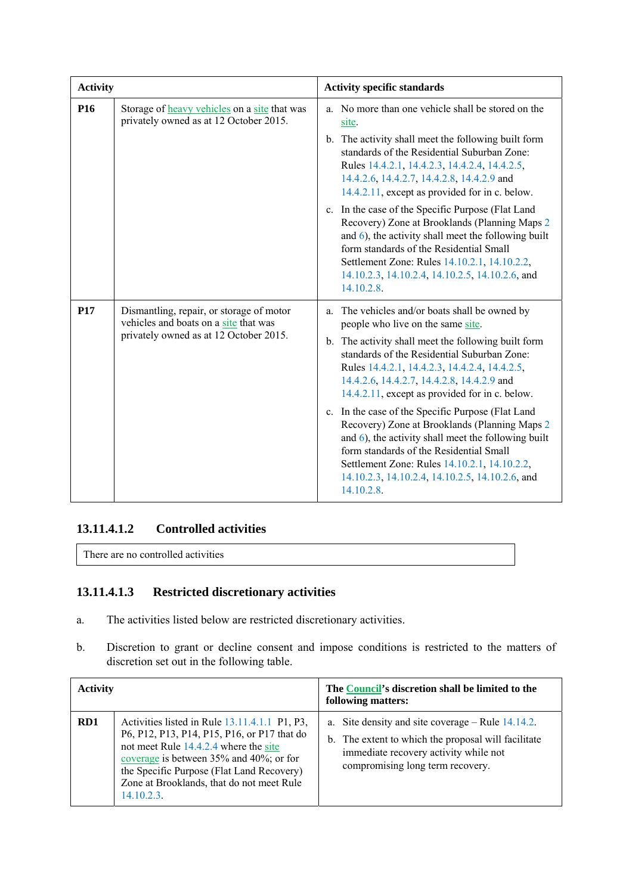| <b>Activity</b> |                                                                                                                             | <b>Activity specific standards</b>                                                                                                                                                                                                                                                                                                                                                                                                                                                                                                                                                                                                                                        |
|-----------------|-----------------------------------------------------------------------------------------------------------------------------|---------------------------------------------------------------------------------------------------------------------------------------------------------------------------------------------------------------------------------------------------------------------------------------------------------------------------------------------------------------------------------------------------------------------------------------------------------------------------------------------------------------------------------------------------------------------------------------------------------------------------------------------------------------------------|
| P <sub>16</sub> | Storage of heavy vehicles on a site that was<br>privately owned as at 12 October 2015.                                      | a. No more than one vehicle shall be stored on the<br>site.                                                                                                                                                                                                                                                                                                                                                                                                                                                                                                                                                                                                               |
|                 |                                                                                                                             | b. The activity shall meet the following built form<br>standards of the Residential Suburban Zone:<br>Rules 14.4.2.1, 14.4.2.3, 14.4.2.4, 14.4.2.5,<br>14.4.2.6, 14.4.2.7, 14.4.2.8, 14.4.2.9 and<br>14.4.2.11, except as provided for in c. below.                                                                                                                                                                                                                                                                                                                                                                                                                       |
|                 |                                                                                                                             | c. In the case of the Specific Purpose (Flat Land<br>Recovery) Zone at Brooklands (Planning Maps 2<br>and $6$ ), the activity shall meet the following built<br>form standards of the Residential Small<br>Settlement Zone: Rules 14.10.2.1, 14.10.2.2,<br>14.10.2.3, 14.10.2.4, 14.10.2.5, 14.10.2.6, and<br>14.10.2.8.                                                                                                                                                                                                                                                                                                                                                  |
| <b>P17</b>      | Dismantling, repair, or storage of motor<br>vehicles and boats on a site that was<br>privately owned as at 12 October 2015. | The vehicles and/or boats shall be owned by<br>a.<br>people who live on the same site.<br>b. The activity shall meet the following built form<br>standards of the Residential Suburban Zone:<br>Rules 14.4.2.1, 14.4.2.3, 14.4.2.4, 14.4.2.5,<br>14.4.2.6, 14.4.2.7, 14.4.2.8, 14.4.2.9 and<br>14.4.2.11, except as provided for in c. below.<br>c. In the case of the Specific Purpose (Flat Land<br>Recovery) Zone at Brooklands (Planning Maps 2<br>and $6$ ), the activity shall meet the following built<br>form standards of the Residential Small<br>Settlement Zone: Rules 14.10.2.1, 14.10.2.2,<br>14.10.2.3, 14.10.2.4, 14.10.2.5, 14.10.2.6, and<br>14.10.2.8. |

### **13.11.4.1.2 Controlled activities**

There are no controlled activities

## **13.11.4.1.3 Restricted discretionary activities**

- a. The activities listed below are restricted discretionary activities.
- b. Discretion to grant or decline consent and impose conditions is restricted to the matters of discretion set out in the following table.

| <b>Activity</b> |                                                                                                                                                                                                                                                                                             | The <b>Council's</b> discretion shall be limited to the<br>following matters:                                                                                                           |
|-----------------|---------------------------------------------------------------------------------------------------------------------------------------------------------------------------------------------------------------------------------------------------------------------------------------------|-----------------------------------------------------------------------------------------------------------------------------------------------------------------------------------------|
| RD1             | Activities listed in Rule 13.11.4.1.1 P1, P3,<br>P6, P12, P13, P14, P15, P16, or P17 that do<br>not meet Rule 14.4.2.4 where the site<br>coverage is between 35% and 40%; or for<br>the Specific Purpose (Flat Land Recovery)<br>Zone at Brooklands, that do not meet Rule<br>$14.10.2.3$ . | a. Site density and site coverage $-$ Rule 14.14.2.<br>b. The extent to which the proposal will facilitate<br>immediate recovery activity while not<br>compromising long term recovery. |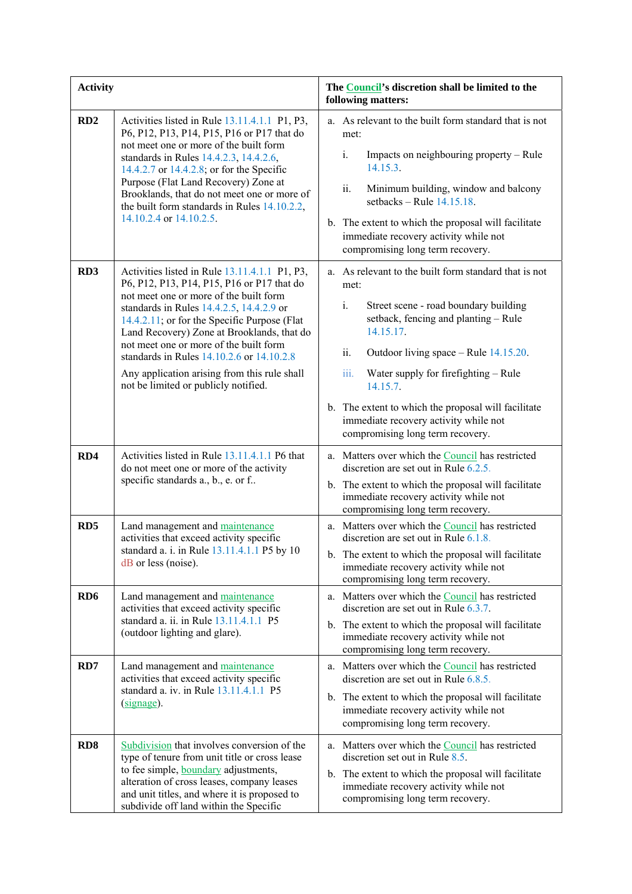| <b>Activity</b> |                                                                                                                                                                                                                                                                                                                                                                                                                                                                | The <b>Council's</b> discretion shall be limited to the<br>following matters:                                                                                                                                                                                                                                                                                                                                        |
|-----------------|----------------------------------------------------------------------------------------------------------------------------------------------------------------------------------------------------------------------------------------------------------------------------------------------------------------------------------------------------------------------------------------------------------------------------------------------------------------|----------------------------------------------------------------------------------------------------------------------------------------------------------------------------------------------------------------------------------------------------------------------------------------------------------------------------------------------------------------------------------------------------------------------|
| RD2             | Activities listed in Rule 13.11.4.1.1 P1, P3,<br>P6, P12, P13, P14, P15, P16 or P17 that do<br>not meet one or more of the built form<br>standards in Rules 14.4.2.3, 14.4.2.6,<br>14.4.2.7 or 14.4.2.8; or for the Specific<br>Purpose (Flat Land Recovery) Zone at<br>Brooklands, that do not meet one or more of<br>the built form standards in Rules 14.10.2.2,<br>14.10.2.4 or 14.10.2.5.                                                                 | a. As relevant to the built form standard that is not<br>met:<br>i.<br>Impacts on neighbouring property – Rule<br>14.15.3.<br>ii.<br>Minimum building, window and balcony<br>setbacks – Rule $14.15.18$ .<br>b. The extent to which the proposal will facilitate<br>immediate recovery activity while not<br>compromising long term recovery.                                                                        |
| RD <sub>3</sub> | Activities listed in Rule 13.11.4.1.1 P1, P3,<br>P6, P12, P13, P14, P15, P16 or P17 that do<br>not meet one or more of the built form<br>standards in Rules 14.4.2.5, 14.4.2.9 or<br>14.4.2.11; or for the Specific Purpose (Flat<br>Land Recovery) Zone at Brooklands, that do<br>not meet one or more of the built form<br>standards in Rules 14.10.2.6 or 14.10.2.8<br>Any application arising from this rule shall<br>not be limited or publicly notified. | a. As relevant to the built form standard that is not<br>met:<br>$i$ .<br>Street scene - road boundary building<br>setback, fencing and planting - Rule<br>14.15.17.<br>ii.<br>Outdoor living space – Rule 14.15.20.<br>iii.<br>Water supply for firefighting - Rule<br>14.15.7.<br>b. The extent to which the proposal will facilitate<br>immediate recovery activity while not<br>compromising long term recovery. |
| RD4             | Activities listed in Rule 13.11.4.1.1 P6 that<br>do not meet one or more of the activity<br>specific standards a., b., e. or f                                                                                                                                                                                                                                                                                                                                 | a. Matters over which the Council has restricted<br>discretion are set out in Rule $6.2.5$ .<br>b. The extent to which the proposal will facilitate<br>immediate recovery activity while not<br>compromising long term recovery.                                                                                                                                                                                     |
| RD <sub>5</sub> | Land management and maintenance<br>activities that exceed activity specific<br>standard a. i. in Rule 13.11.4.1.1 P5 by 10<br>$dB$ or less (noise).                                                                                                                                                                                                                                                                                                            | a. Matters over which the Council has restricted<br>discretion are set out in Rule 6.1.8.<br>b. The extent to which the proposal will facilitate<br>immediate recovery activity while not<br>compromising long term recovery.                                                                                                                                                                                        |
| RD <sub>6</sub> | Land management and maintenance<br>activities that exceed activity specific<br>standard a. ii. in Rule 13.11.4.1.1 P5<br>(outdoor lighting and glare).                                                                                                                                                                                                                                                                                                         | a. Matters over which the Council has restricted<br>discretion are set out in Rule $6.3.7$ .<br>b. The extent to which the proposal will facilitate<br>immediate recovery activity while not<br>compromising long term recovery.                                                                                                                                                                                     |
| RD7             | Land management and maintenance<br>activities that exceed activity specific<br>standard a. iv. in Rule 13.11.4.1.1 P5<br>$(signage)$ .                                                                                                                                                                                                                                                                                                                         | a. Matters over which the Council has restricted<br>discretion are set out in Rule $6.8.5$ .<br>b. The extent to which the proposal will facilitate<br>immediate recovery activity while not<br>compromising long term recovery.                                                                                                                                                                                     |
| RD <sub>8</sub> | Subdivision that involves conversion of the<br>type of tenure from unit title or cross lease<br>to fee simple, <b>boundary</b> adjustments,<br>alteration of cross leases, company leases<br>and unit titles, and where it is proposed to<br>subdivide off land within the Specific                                                                                                                                                                            | a. Matters over which the Council has restricted<br>discretion set out in Rule 8.5.<br>b. The extent to which the proposal will facilitate<br>immediate recovery activity while not<br>compromising long term recovery.                                                                                                                                                                                              |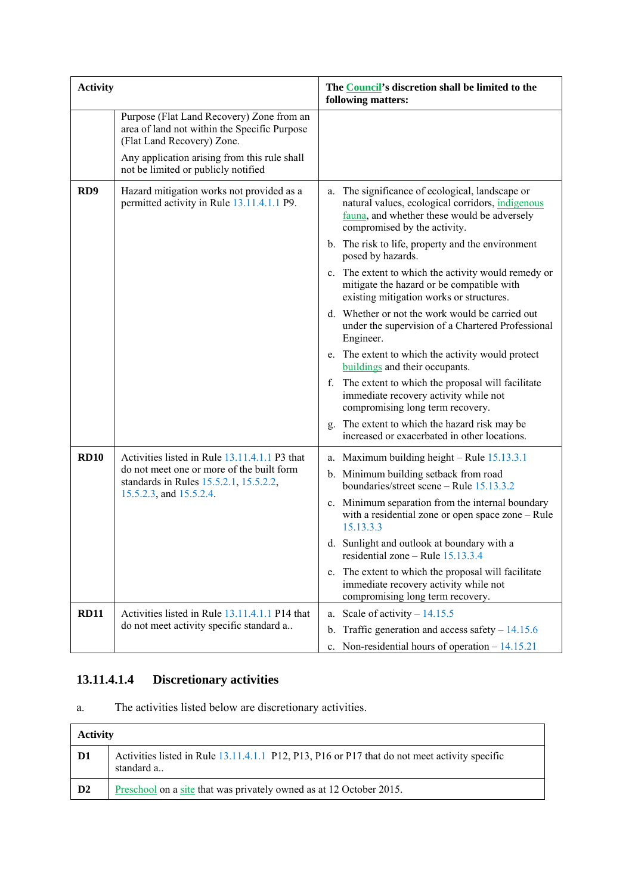| <b>Activity</b> |                                                                                                                                                                         | The Council's discretion shall be limited to the<br>following matters:                                                                                                             |
|-----------------|-------------------------------------------------------------------------------------------------------------------------------------------------------------------------|------------------------------------------------------------------------------------------------------------------------------------------------------------------------------------|
|                 | Purpose (Flat Land Recovery) Zone from an<br>area of land not within the Specific Purpose<br>(Flat Land Recovery) Zone.<br>Any application arising from this rule shall |                                                                                                                                                                                    |
|                 | not be limited or publicly notified                                                                                                                                     |                                                                                                                                                                                    |
| RD <sub>9</sub> | Hazard mitigation works not provided as a<br>permitted activity in Rule 13.11.4.1.1 P9.                                                                                 | a. The significance of ecological, landscape or<br>natural values, ecological corridors, indigenous<br>fauna, and whether these would be adversely<br>compromised by the activity. |
|                 |                                                                                                                                                                         | b. The risk to life, property and the environment<br>posed by hazards.                                                                                                             |
|                 |                                                                                                                                                                         | The extent to which the activity would remedy or<br>$\mathbf{c}$ .<br>mitigate the hazard or be compatible with<br>existing mitigation works or structures.                        |
|                 |                                                                                                                                                                         | d. Whether or not the work would be carried out<br>under the supervision of a Chartered Professional<br>Engineer.                                                                  |
|                 |                                                                                                                                                                         | e. The extent to which the activity would protect<br>buildings and their occupants.                                                                                                |
|                 |                                                                                                                                                                         | f. The extent to which the proposal will facilitate<br>immediate recovery activity while not<br>compromising long term recovery.                                                   |
|                 |                                                                                                                                                                         | The extent to which the hazard risk may be<br>g.<br>increased or exacerbated in other locations.                                                                                   |
| <b>RD10</b>     | Activities listed in Rule 13.11.4.1.1 P3 that                                                                                                                           | a. Maximum building height $-$ Rule $15.13.3.1$                                                                                                                                    |
|                 | do not meet one or more of the built form<br>standards in Rules 15.5.2.1, 15.5.2.2,                                                                                     | b. Minimum building setback from road<br>boundaries/street scene - Rule 15.13.3.2                                                                                                  |
|                 | 15.5.2.3, and 15.5.2.4.                                                                                                                                                 | c. Minimum separation from the internal boundary<br>with a residential zone or open space zone – Rule<br>15.13.3.3                                                                 |
|                 |                                                                                                                                                                         | d. Sunlight and outlook at boundary with a<br>residential zone - Rule 15.13.3.4                                                                                                    |
|                 |                                                                                                                                                                         | e. The extent to which the proposal will facilitate<br>immediate recovery activity while not<br>compromising long term recovery.                                                   |
| <b>RD11</b>     | Activities listed in Rule 13.11.4.1.1 P14 that                                                                                                                          | Scale of activity $-14.15.5$<br>a.                                                                                                                                                 |
|                 | do not meet activity specific standard a                                                                                                                                | b. Traffic generation and access safety $-14.15.6$                                                                                                                                 |
|                 |                                                                                                                                                                         | c. Non-residential hours of operation $-14.15.21$                                                                                                                                  |

# **13.11.4.1.4 Discretionary activities**

a. The activities listed below are discretionary activities.

| <b>Activity</b> |                                                                                                             |
|-----------------|-------------------------------------------------------------------------------------------------------------|
| D1              | Activities listed in Rule 13.11.4.1.1 P12, P13, P16 or P17 that do not meet activity specific<br>standard a |
| D <sub>2</sub>  | <u>Preschool</u> on a site that was privately owned as at 12 October 2015.                                  |